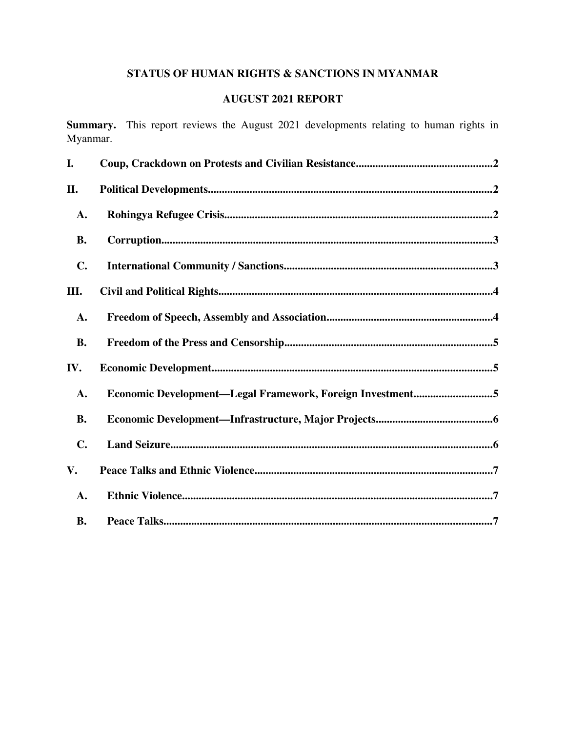# STATUS OF HUMAN RIGHTS & SANCTIONS IN MYANMAR

# AUGUST 2021 REPORT

Summary. This report reviews the August 2021 developments relating to human rights in Myanmar.

| I.             |                                                           |
|----------------|-----------------------------------------------------------|
| II.            |                                                           |
| A.             |                                                           |
| <b>B.</b>      |                                                           |
| $\mathbf{C}$ . |                                                           |
| Ш.             |                                                           |
| A.             |                                                           |
| <b>B.</b>      |                                                           |
| IV.            |                                                           |
| A.             | Economic Development—Legal Framework, Foreign Investment5 |
| <b>B.</b>      |                                                           |
| $\mathbf{C}$ . |                                                           |
| V.             |                                                           |
| A.             |                                                           |
| <b>B.</b>      |                                                           |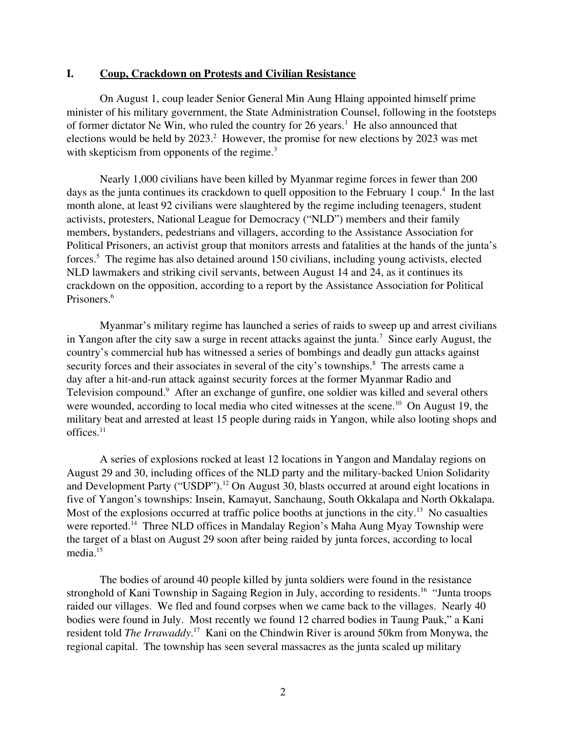#### <span id="page-1-0"></span>I. Coup, Crackdown on Protests and Civilian Resistance

On August 1, coup leader Senior General Min Aung Hlaing appointed himself prime minister of his military government, the State Administration Counsel, following in the footsteps of former dictator Ne Win, who ruled the country for 26 years.<sup>1</sup> He also announced that elections would be held by  $2023$ .<sup>2</sup> However, the promise for new elections by  $2023$  was met with skepticism from opponents of the regime.<sup>3</sup>

Nearly 1,000 civilians have been killed by Myanmar regime forces in fewer than 200 days as the junta continues its crackdown to quell opposition to the February 1 coup.<sup>4</sup> In the last month alone, at least 92 civilians were slaughtered by the regime including teenagers, student activists, protesters, National League for Democracy ("NLD") members and their family members, bystanders, pedestrians and villagers, according to the Assistance Association for Political Prisoners, an activist group that monitors arrests and fatalities at the hands of the junta's forces.<sup>5</sup> The regime has also detained around 150 civilians, including young activists, elected NLD lawmakers and striking civil servants, between August 14 and 24, as it continues its crackdown on the opposition, according to a report by the Assistance Association for Political Prisoners.<sup>6</sup>

Myanmar's military regime has launched a series of raids to sweep up and arrest civilians in Yangon after the city saw a surge in recent attacks against the junta.<sup>7</sup> Since early August, the country's commercial hub has witnessed a series of bombings and deadly gun attacks against security forces and their associates in several of the city's townships.<sup>8</sup> The arrests came a day after a hit-and-run attack against security forces at the former Myanmar Radio and Television compound.<sup>9</sup> After an exchange of gunfire, one soldier was killed and several others were wounded, according to local media who cited witnesses at the scene.<sup>10</sup> On August 19, the military beat and arrested at least 15 people during raids in Yangon, while also looting shops and  $offices.<sup>11</sup>$ 

A series of explosions rocked at least 12 locations in Yangon and Mandalay regions on August 29 and 30, including offices of the NLD party and the military-backed Union Solidarity and Development Party ("USDP").<sup>12</sup> On August 30, blasts occurred at around eight locations in five of Yangon's townships: Insein, Kamayut, Sanchaung, South Okkalapa and North Okkalapa. Most of the explosions occurred at traffic police booths at junctions in the city.<sup>13</sup> No casualties were reported.<sup>14</sup> Three NLD offices in Mandalay Region's Maha Aung Myay Township were the target of a blast on August 29 soon after being raided by junta forces, according to local media.<sup>15</sup>

The bodies of around 40 people killed by junta soldiers were found in the resistance stronghold of Kani Township in Sagaing Region in July, according to residents.<sup>16</sup> "Junta troops" raided our villages. We fled and found corpses when we came back to the villages. Nearly 40 bodies were found in July. Most recently we found 12 charred bodies in Taung Pauk," a Kani resident told *The Irrawaddy*.<sup>17</sup> Kani on the Chindwin River is around 50km from Monywa, the regional capital. The township has seen several massacres as the junta scaled up military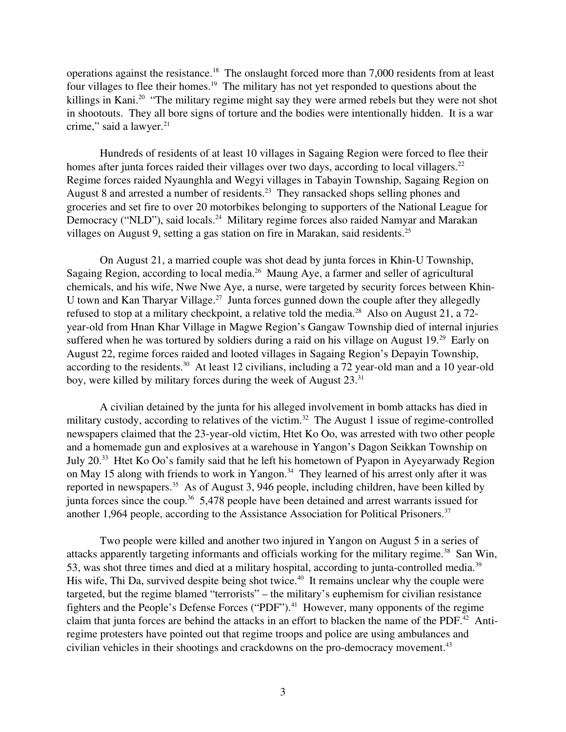operations against the resistance.<sup>18</sup> The onslaught forced more than 7,000 residents from at least four villages to flee their homes.<sup>19</sup> The military has not yet responded to questions about the killings in Kani.<sup>20</sup> "The military regime might say they were armed rebels but they were not shot in shootouts. They all bore signs of torture and the bodies were intentionally hidden. It is a war crime," said a lawyer. $21$ 

Hundreds of residents of at least 10 villages in Sagaing Region were forced to flee their homes after junta forces raided their villages over two days, according to local villagers.<sup>22</sup> Regime forces raided Nyaunghla and Wegyi villages in Tabayin Township, Sagaing Region on August 8 and arrested a number of residents.<sup>23</sup> They ransacked shops selling phones and groceries and set fire to over 20 motorbikes belonging to supporters of the National League for Democracy ("NLD"), said locals.<sup>24</sup> Military regime forces also raided Namyar and Marakan villages on August 9, setting a gas station on fire in Marakan, said residents.<sup>25</sup>

On August 21, a married couple was shot dead by junta forces in Khin-U Township, Sagaing Region, according to local media.<sup>26</sup> Maung Aye, a farmer and seller of agricultural chemicals, and his wife, Nwe Nwe Aye, a nurse, were targeted by security forces between Khin-U town and Kan Tharyar Village.<sup>27</sup> Junta forces gunned down the couple after they allegedly refused to stop at a military checkpoint, a relative told the media.<sup>28</sup> Also on August 21, a 72year-old from Hnan Khar Village in Magwe Region's Gangaw Township died of internal injuries suffered when he was tortured by soldiers during a raid on his village on August 19.<sup>29</sup> Early on August 22, regime forces raided and looted villages in Sagaing Region's Depayin Township, according to the residents.<sup>30</sup> At least 12 civilians, including a 72 year-old man and a 10 year-old boy, were killed by military forces during the week of August 23.<sup>31</sup>

A civilian detained by the junta for his alleged involvement in bomb attacks has died in military custody, according to relatives of the victim.<sup>32</sup> The August 1 issue of regime-controlled newspapers claimed that the 23-year-old victim, Htet Ko Oo, was arrested with two other people and a homemade gun and explosives at a warehouse in Yangon's Dagon Seikkan Township on July 20.<sup>33</sup> Htet Ko Oo's family said that he left his hometown of Pyapon in Ayeyarwady Region on May 15 along with friends to work in Yangon.<sup>34</sup> They learned of his arrest only after it was reported in newspapers.<sup>35</sup> As of August 3, 946 people, including children, have been killed by junta forces since the coup.<sup>36</sup> 5,478 people have been detained and arrest warrants issued for another 1,964 people, according to the Assistance Association for Political Prisoners.<sup>37</sup>

Two people were killed and another two injured in Yangon on August 5 in a series of attacks apparently targeting informants and officials working for the military regime.<sup>38</sup> San Win, 53, was shot three times and died at a military hospital, according to junta-controlled media.<sup>39</sup> His wife, Thi Da, survived despite being shot twice.<sup>40</sup> It remains unclear why the couple were targeted, but the regime blamed "terrorists" – the military's euphemism for civilian resistance fighters and the People's Defense Forces ("PDF").<sup>41</sup> However, many opponents of the regime claim that junta forces are behind the attacks in an effort to blacken the name of the PDF.<sup>42</sup> Antiregime protesters have pointed out that regime troops and police are using ambulances and civilian vehicles in their shootings and crackdowns on the pro-democracy movement.<sup>43</sup>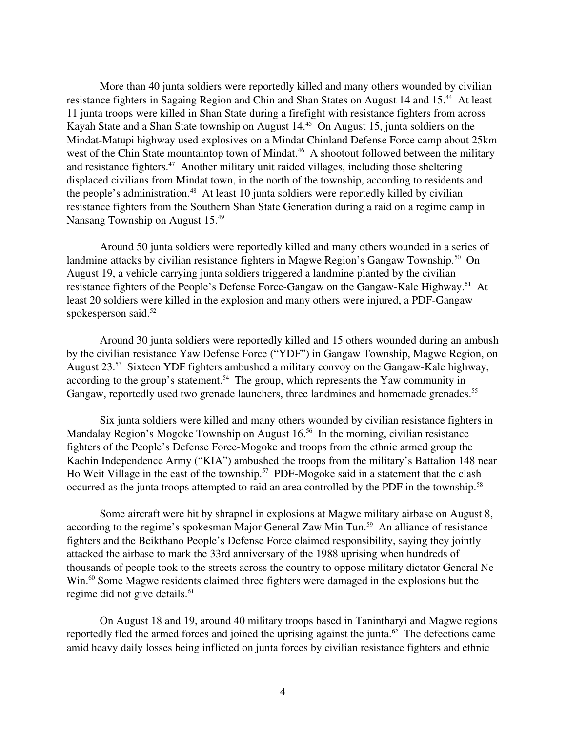More than 40 junta soldiers were reportedly killed and many others wounded by civilian resistance fighters in Sagaing Region and Chin and Shan States on August 14 and 15.<sup>44</sup> At least 11 junta troops were killed in Shan State during a firefight with resistance fighters from across Kayah State and a Shan State township on August 14.<sup>45</sup> On August 15, junta soldiers on the Mindat-Matupi highway used explosives on a Mindat Chinland Defense Force camp about 25km west of the Chin State mountaintop town of Mindat.<sup>46</sup> A shootout followed between the military and resistance fighters.<sup>47</sup> Another military unit raided villages, including those sheltering displaced civilians from Mindat town, in the north of the township, according to residents and the people's administration. $48$  At least 10 junta soldiers were reportedly killed by civilian resistance fighters from the Southern Shan State Generation during a raid on a regime camp in Nansang Township on August 15.<sup>49</sup>

Around 50 junta soldiers were reportedly killed and many others wounded in a series of landmine attacks by civilian resistance fighters in Magwe Region's Gangaw Township.<sup>50</sup> On August 19, a vehicle carrying junta soldiers triggered a landmine planted by the civilian resistance fighters of the People's Defense Force-Gangaw on the Gangaw-Kale Highway.<sup>51</sup> At least 20 soldiers were killed in the explosion and many others were injured, a PDF-Gangaw spokesperson said.<sup>52</sup>

Around 30 junta soldiers were reportedly killed and 15 others wounded during an ambush by the civilian resistance Yaw Defense Force ("YDF") in Gangaw Township, Magwe Region, on August  $23.^{53}$  Sixteen YDF fighters ambushed a military convoy on the Gangaw-Kale highway, according to the group's statement.<sup>54</sup> The group, which represents the Yaw community in Gangaw, reportedly used two grenade launchers, three landmines and homemade grenades.<sup>55</sup>

Six junta soldiers were killed and many others wounded by civilian resistance fighters in Mandalay Region's Mogoke Township on August 16.<sup>56</sup> In the morning, civilian resistance fighters of the People's Defense Force-Mogoke and troops from the ethnic armed group the Kachin Independence Army ("KIA") ambushed the troops from the military's Battalion 148 near Ho Weit Village in the east of the township.<sup>57</sup> PDF-Mogoke said in a statement that the clash occurred as the junta troops attempted to raid an area controlled by the PDF in the township.<sup>58</sup>

Some aircraft were hit by shrapnel in explosions at Magwe military airbase on August 8, according to the regime's spokesman Major General Zaw Min Tun.<sup>59</sup> An alliance of resistance fighters and the Beikthano People's Defense Force claimed responsibility, saying they jointly attacked the airbase to mark the 33rd anniversary of the 1988 uprising when hundreds of thousands of people took to the streets across the country to oppose military dictator General Ne Win.<sup>60</sup> Some Magwe residents claimed three fighters were damaged in the explosions but the regime did not give details.<sup>61</sup>

On August 18 and 19, around 40 military troops based in Tanintharyi and Magwe regions reportedly fled the armed forces and joined the uprising against the junta.<sup>62</sup> The defections came amid heavy daily losses being inflicted on junta forces by civilian resistance fighters and ethnic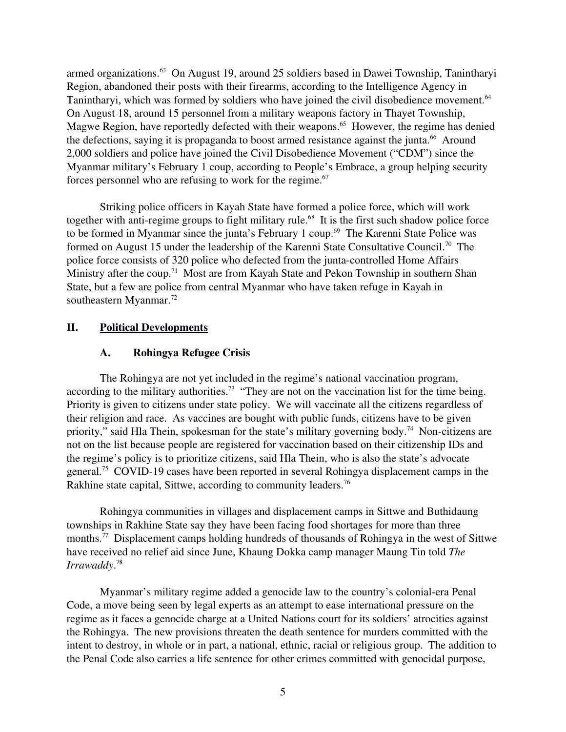armed organizations.<sup>63</sup> On August 19, around 25 soldiers based in Dawei Township, Tanintharyi Region, abandoned their posts with their firearms, according to the Intelligence Agency in Tanintharyi, which was formed by soldiers who have joined the civil disobedience movement.<sup>64</sup> On August 18, around 15 personnel from a military weapons factory in Thayet Township, Magwe Region, have reportedly defected with their weapons.<sup>65</sup> However, the regime has denied the defections, saying it is propaganda to boost armed resistance against the junta.<sup>66</sup> Around 2,000 soldiers and police have joined the Civil Disobedience Movement ("CDM") since the Myanmar military's February 1 coup, according to People's Embrace, a group helping security forces personnel who are refusing to work for the regime. $67$ 

Striking police officers in Kayah State have formed a police force, which will work together with anti-regime groups to fight military rule.<sup>68</sup> It is the first such shadow police force to be formed in Myanmar since the junta's February 1 coup.<sup>69</sup> The Karenni State Police was formed on August 15 under the leadership of the Karenni State Consultative Council.<sup>70</sup> The police force consists of 320 police who defected from the junta-controlled Home Affairs Ministry after the coup.<sup>71</sup> Most are from Kayah State and Pekon Township in southern Shan State, but a few are police from central Myanmar who have taken refuge in Kayah in southeastern Myanmar.<sup>72</sup>

## II. Political Developments

## <span id="page-4-1"></span><span id="page-4-0"></span>A. Rohingya Refugee Crisis

The Rohingya are not yet included in the regime's national vaccination program, according to the military authorities.<sup>73</sup> "They are not on the vaccination list for the time being. Priority is given to citizens under state policy. We will vaccinate all the citizens regardless of their religion and race. As vaccines are bought with public funds, citizens have to be given priority," said Hla Thein, spokesman for the state's military governing body.<sup>74</sup> Non-citizens are not on the list because people are registered for vaccination based on their citizenship IDs and the regime's policy is to prioritize citizens, said Hla Thein, who is also the state's advocate general.<sup>75</sup> COVID-19 cases have been reported in several Rohingya displacement camps in the Rakhine state capital, Sittwe, according to community leaders.<sup>76</sup>

Rohingya communities in villages and displacement camps in Sittwe and Buthidaung townships in Rakhine State say they have been facing food shortages for more than three months.<sup>77</sup> Displacement camps holding hundreds of thousands of Rohingya in the west of Sittwe have received no relief aid since June, Khaung Dokka camp manager Maung Tin told *The Irrawaddy*. 78

Myanmar's military regime added a genocide law to the country's colonial-era Penal Code, a move being seen by legal experts as an attempt to ease international pressure on the regime as it faces a genocide charge at a United Nations court for its soldiers' atrocities against the Rohingya. The new provisions threaten the death sentence for murders committed with the intent to destroy, in whole or in part, a national, ethnic, racial or religious group. The addition to the Penal Code also carries a life sentence for other crimes committed with genocidal purpose,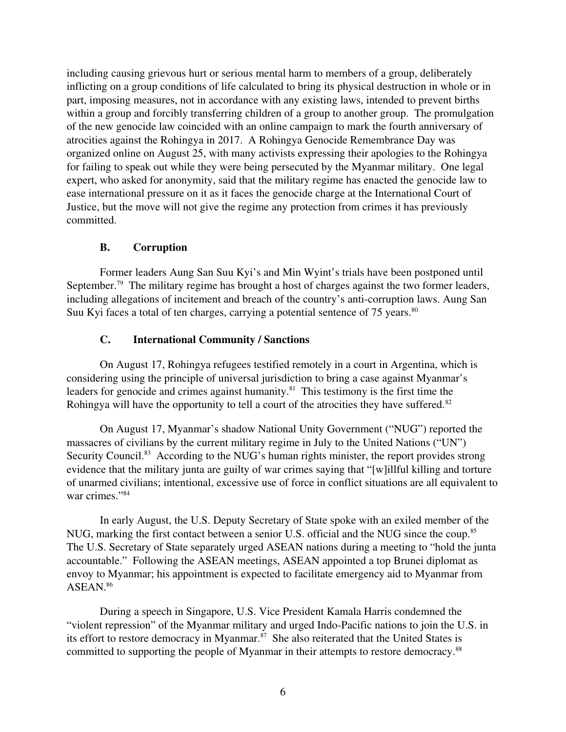including causing grievous hurt or serious mental harm to members of a group, deliberately inflicting on a group conditions of life calculated to bring its physical destruction in whole or in part, imposing measures, not in accordance with any existing laws, intended to prevent births within a group and forcibly transferring children of a group to another group. The promulgation of the new genocide law coincided with an online campaign to mark the fourth anniversary of atrocities against the Rohingya in 2017. A Rohingya Genocide Remembrance Day was organized online on August 25, with many activists expressing their apologies to the Rohingya for failing to speak out while they were being persecuted by the Myanmar military. One legal expert, who asked for anonymity, said that the military regime has enacted the genocide law to ease international pressure on it as it faces the genocide charge at the International Court of Justice, but the move will not give the regime any protection from crimes it has previously committed.

## <span id="page-5-1"></span>B. Corruption

Former leaders Aung San Suu Kyi's and Min Wyint's trials have been postponed until September.<sup>79</sup> The military regime has brought a host of charges against the two former leaders, including allegations of incitement and breach of the country's anti-corruption laws. Aung San Suu Kyi faces a total of ten charges, carrying a potential sentence of 75 years.<sup>80</sup>

## <span id="page-5-0"></span>C. International Community / Sanctions

On August 17, Rohingya refugees testified remotely in a court in Argentina, which is considering using the principle of universal jurisdiction to bring a case against Myanmar's leaders for genocide and crimes against humanity.<sup>81</sup> This testimony is the first time the Rohingya will have the opportunity to tell a court of the atrocities they have suffered.<sup>82</sup>

On August 17, Myanmar's shadow National Unity Government ("NUG") reported the massacres of civilians by the current military regime in July to the United Nations ("UN") Security Council.<sup>83</sup> According to the NUG's human rights minister, the report provides strong evidence that the military junta are guilty of war crimes saying that "[w]illful killing and torture of unarmed civilians; intentional, excessive use of force in conflict situations are all equivalent to war crimes."<sup>84</sup>

In early August, the U.S. Deputy Secretary of State spoke with an exiled member of the NUG, marking the first contact between a senior U.S. official and the NUG since the coup.<sup>85</sup> The U.S. Secretary of State separately urged ASEAN nations during a meeting to "hold the junta accountable." Following the ASEAN meetings, ASEAN appointed a top Brunei diplomat as envoy to Myanmar; his appointment is expected to facilitate emergency aid to Myanmar from ASEAN.<sup>86</sup>

During a speech in Singapore, U.S. Vice President Kamala Harris condemned the "violent repression" of the Myanmar military and urged Indo-Pacific nations to join the U.S. in its effort to restore democracy in Myanmar.<sup>87</sup> She also reiterated that the United States is committed to supporting the people of Myanmar in their attempts to restore democracy.<sup>88</sup>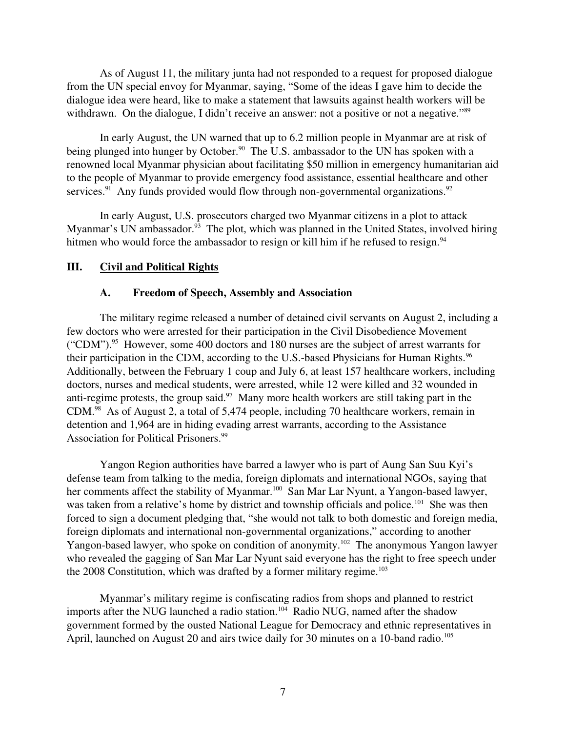As of August 11, the military junta had not responded to a request for proposed dialogue from the UN special envoy for Myanmar, saying, "Some of the ideas I gave him to decide the dialogue idea were heard, like to make a statement that lawsuits against health workers will be withdrawn. On the dialogue, I didn't receive an answer: not a positive or not a negative."<sup>89</sup>

In early August, the UN warned that up to 6.2 million people in Myanmar are at risk of being plunged into hunger by October.<sup>90</sup> The U.S. ambassador to the UN has spoken with a renowned local Myanmar physician about facilitating \$50 million in emergency humanitarian aid to the people of Myanmar to provide emergency food assistance, essential healthcare and other services.<sup>91</sup> Any funds provided would flow through non-governmental organizations.<sup>92</sup>

In early August, U.S. prosecutors charged two Myanmar citizens in a plot to attack Myanmar's UN ambassador.<sup>93</sup> The plot, which was planned in the United States, involved hiring hitmen who would force the ambassador to resign or kill him if he refused to resign.<sup>94</sup>

#### III. Civil and Political Rights

#### <span id="page-6-1"></span><span id="page-6-0"></span>A. Freedom of Speech, Assembly and Association

The military regime released a number of detained civil servants on August 2, including a few doctors who were arrested for their participation in the Civil Disobedience Movement ("CDM").<sup>95</sup> However, some 400 doctors and 180 nurses are the subject of arrest warrants for their participation in the CDM, according to the U.S.-based Physicians for Human Rights.<sup>96</sup> Additionally, between the February 1 coup and July 6, at least 157 healthcare workers, including doctors, nurses and medical students, were arrested, while 12 were killed and 32 wounded in anti-regime protests, the group said.<sup>97</sup> Many more health workers are still taking part in the CDM.<sup>98</sup> As of August 2, a total of 5,474 people, including 70 healthcare workers, remain in detention and 1,964 are in hiding evading arrest warrants, according to the Assistance Association for Political Prisoners.<sup>99</sup>

Yangon Region authorities have barred a lawyer who is part of Aung San Suu Kyi's defense team from talking to the media, foreign diplomats and international NGOs, saying that her comments affect the stability of Myanmar.<sup>100</sup> San Mar Lar Nyunt, a Yangon-based lawyer, was taken from a relative's home by district and township officials and police.<sup>101</sup> She was then forced to sign a document pledging that, "she would not talk to both domestic and foreign media, foreign diplomats and international non-governmental organizations," according to another Yangon-based lawyer, who spoke on condition of anonymity.<sup>102</sup> The anonymous Yangon lawyer who revealed the gagging of San Mar Lar Nyunt said everyone has the right to free speech under the  $2008$  Constitution, which was drafted by a former military regime.<sup>103</sup>

Myanmar's military regime is confiscating radios from shops and planned to restrict imports after the NUG launched a radio station.<sup>104</sup> Radio NUG, named after the shadow government formed by the ousted National League for Democracy and ethnic representatives in April, launched on August 20 and airs twice daily for 30 minutes on a 10-band radio.<sup>105</sup>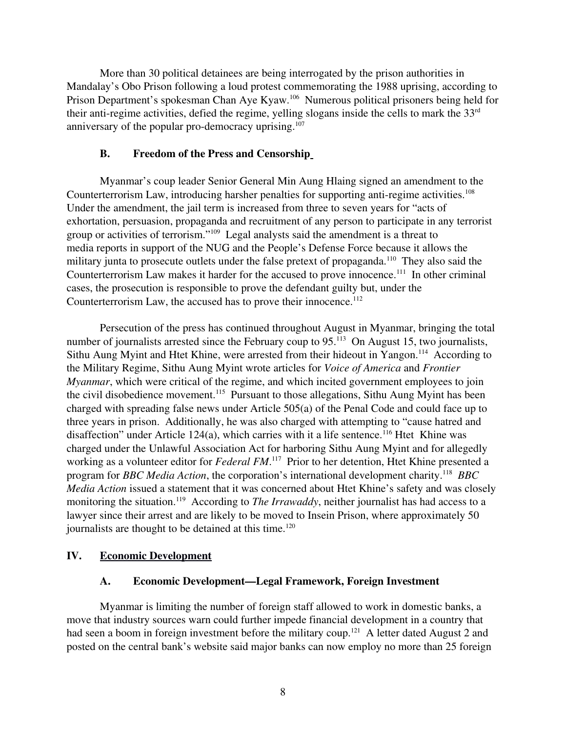More than 30 political detainees are being interrogated by the prison authorities in Mandalay's Obo Prison following a loud protest commemorating the 1988 uprising, according to Prison Department's spokesman Chan Aye Kyaw.<sup>106</sup> Numerous political prisoners being held for their anti-regime activities, defied the regime, yelling slogans inside the cells to mark the  $33<sup>rd</sup>$ anniversary of the popular pro-democracy uprising. $107$ 

#### <span id="page-7-2"></span>B. Freedom of the Press and Censorship

Myanmar's coup leader Senior General Min Aung Hlaing signed an amendment to the Counterterrorism Law, introducing harsher penalties for supporting anti-regime activities.<sup>108</sup> Under the amendment, the jail term is increased from three to seven years for "acts of exhortation, persuasion, propaganda and recruitment of any person to participate in any terrorist group or activities of terrorism."<sup>109</sup> Legal analysts said the amendment is a threat to media reports in support of the NUG and the People's Defense Force because it allows the military junta to prosecute outlets under the false pretext of propaganda.<sup>110</sup> They also said the Counterterrorism Law makes it harder for the accused to prove innocence.<sup>111</sup> In other criminal cases, the prosecution is responsible to prove the defendant guilty but, under the Counterterrorism Law, the accused has to prove their innocence.<sup>112</sup>

Persecution of the press has continued throughout August in Myanmar, bringing the total number of journalists arrested since the February coup to 95.<sup>113</sup> On August 15, two journalists, Sithu Aung Myint and Htet Khine, were arrested from their hideout in Yangon.<sup>114</sup> According to the Military Regime, Sithu Aung Myint wrote articles for *Voice of America* and *Frontier Myanmar*, which were critical of the regime, and which incited government employees to join the civil disobedience movement.<sup>115</sup> Pursuant to those allegations, Sithu Aung Myint has been charged with spreading false news under Article 505(a) of the Penal Code and could face up to three years in prison. Additionally, he was also charged with attempting to "cause hatred and disaffection" under Article 124(a), which carries with it a life sentence.<sup>116</sup> Htet Khine was charged under the Unlawful Association Act for harboring Sithu Aung Myint and for allegedly working as a volunteer editor for *Federal FM*.<sup>117</sup> Prior to her detention, Htet Khine presented a program for *BBC Media Action*, the corporation's international development charity.<sup>118</sup> BBC *Media Action* issued a statement that it was concerned about Htet Khine's safety and was closely monitoring the situation.<sup>119</sup> According to *The Irrawaddy*, neither journalist has had access to a lawyer since their arrest and are likely to be moved to Insein Prison, where approximately 50 journalists are thought to be detained at this time.<sup>120</sup>

## IV. Economic Development

## <span id="page-7-1"></span><span id="page-7-0"></span>A. Economic Development—Legal Framework, Foreign Investment

Myanmar is limiting the number of foreign staff allowed to work in domestic banks, a move that industry sources warn could further impede financial development in a country that had seen a boom in foreign investment before the military coup.<sup>121</sup> A letter dated August 2 and posted on the central bank's website said major banks can now employ no more than 25 foreign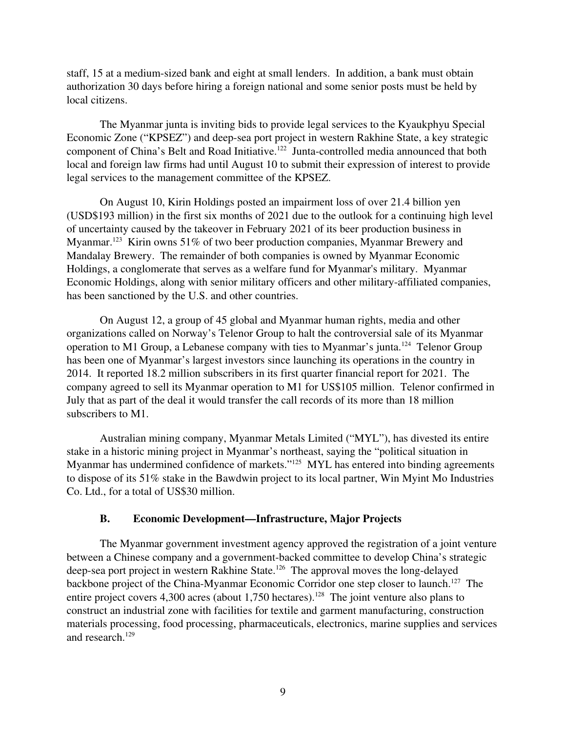staff, 15 at a mediumsized bank and eight at small lenders. In addition, a bank must obtain authorization 30 days before hiring a foreign national and some senior posts must be held by local citizens.

The Myanmar junta is inviting bids to provide legal services to the Kyaukphyu Special Economic Zone ("KPSEZ") and deep-sea port project in western Rakhine State, a key strategic component of China's Belt and Road Initiative.<sup>122</sup> Junta-controlled media announced that both local and foreign law firms had until August 10 to submit their expression of interest to provide legal services to the management committee of the KPSEZ.

On August 10, Kirin Holdings posted an impairment loss of over 21.4 billion yen (USD\$193 million) in the first six months of 2021 due to the outlook for a continuing high level of uncertainty caused by the takeover in February 2021 of its beer production business in Myanmar.<sup>123</sup> Kirin owns 51% of two beer production companies, Myanmar Brewery and Mandalay Brewery. The remainder of both companies is owned by Myanmar Economic Holdings, a conglomerate that serves as a welfare fund for Myanmar's military. Myanmar Economic Holdings, along with senior military officers and other military-affiliated companies, has been sanctioned by the U.S. and other countries.

On August 12, a group of 45 global and Myanmar human rights, media and other organizations called on Norway's Telenor Group to halt the controversial sale of its Myanmar operation to M1 Group, a Lebanese company with ties to Myanmar's junta.<sup>124</sup> Telenor Group has been one of Myanmar's largest investors since launching its operations in the country in 2014. It reported 18.2 million subscribers in its first quarter financial report for 2021. The company agreed to sell its Myanmar operation to M1 for US\$105 million. Telenor confirmed in July that as part of the deal it would transfer the call records of its more than 18 million subscribers to M1.

Australian mining company, Myanmar Metals Limited ("MYL"), has divested its entire stake in a historic mining project in Myanmar's northeast, saying the "political situation in Myanmar has undermined confidence of markets."<sup>125</sup> MYL has entered into binding agreements to dispose of its 51% stake in the Bawdwin project to its local partner, Win Myint Mo Industries Co. Ltd., for a total of US\$30 million.

#### <span id="page-8-0"></span>B. Economic Development—Infrastructure, Major Projects

The Myanmar government investment agency approved the registration of a joint venture between a Chinese company and a government-backed committee to develop China's strategic deep-sea port project in western Rakhine State.<sup>126</sup> The approval moves the long-delayed backbone project of the China-Myanmar Economic Corridor one step closer to launch.<sup>127</sup> The entire project covers 4,300 acres (about 1,750 hectares).<sup>128</sup> The joint venture also plans to construct an industrial zone with facilities for textile and garment manufacturing, construction materials processing, food processing, pharmaceuticals, electronics, marine supplies and services and research.<sup>129</sup>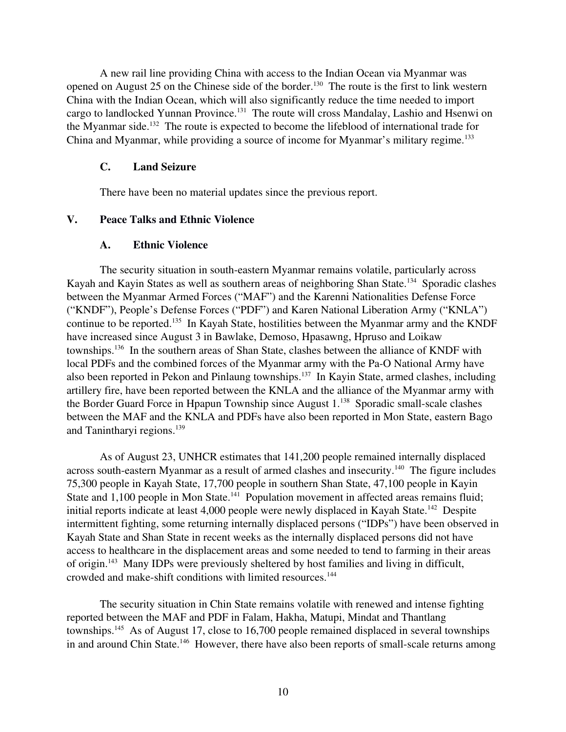A new rail line providing China with access to the Indian Ocean via Myanmar was opened on August 25 on the Chinese side of the border.<sup>130</sup> The route is the first to link western China with the Indian Ocean, which will also significantly reduce the time needed to import cargo to landlocked Yunnan Province.<sup>131</sup> The route will cross Mandalay, Lashio and Hsenwi on the Myanmar side.<sup>132</sup> The route is expected to become the lifeblood of international trade for China and Myanmar, while providing a source of income for Myanmar's military regime.<sup>133</sup>

# <span id="page-9-2"></span>C. Land Seizure

<span id="page-9-1"></span>There have been no material updates since the previous report.

# V. Peace Talks and Ethnic Violence

## <span id="page-9-0"></span>A. Ethnic Violence

The security situation in south-eastern Myanmar remains volatile, particularly across Kayah and Kayin States as well as southern areas of neighboring Shan State.<sup>134</sup> Sporadic clashes between the Myanmar Armed Forces ("MAF") and the Karenni Nationalities Defense Force ("KNDF"), People's Defense Forces ("PDF") and Karen National Liberation Army ("KNLA") continue to be reported.<sup>135</sup> In Kayah State, hostilities between the Myanmar army and the KNDF have increased since August 3 in Bawlake, Demoso, Hpasawng, Hpruso and Loikaw townships.<sup>136</sup> In the southern areas of Shan State, clashes between the alliance of KNDF with local PDFs and the combined forces of the Myanmar army with the Pa-O National Army have also been reported in Pekon and Pinlaung townships.<sup>137</sup> In Kayin State, armed clashes, including artillery fire, have been reported between the KNLA and the alliance of the Myanmar army with the Border Guard Force in Hpapun Township since August  $1.^{138}$  Sporadic small-scale clashes between the MAF and the KNLA and PDFs have also been reported in Mon State, eastern Bago and Tanintharyi regions.<sup>139</sup>

As of August 23, UNHCR estimates that 141,200 people remained internally displaced across south-eastern Myanmar as a result of armed clashes and insecurity.<sup>140</sup> The figure includes 75,300 people in Kayah State, 17,700 people in southern Shan State, 47,100 people in Kayin State and 1,100 people in Mon State.<sup>141</sup> Population movement in affected areas remains fluid; initial reports indicate at least 4,000 people were newly displaced in Kayah State.<sup>142</sup> Despite intermittent fighting, some returning internally displaced persons ("IDPs") have been observed in Kayah State and Shan State in recent weeks as the internally displaced persons did not have access to healthcare in the displacement areas and some needed to tend to farming in their areas of origin.<sup>143</sup> Many IDPs were previously sheltered by host families and living in difficult, crowded and make-shift conditions with limited resources.<sup>144</sup>

The security situation in Chin State remains volatile with renewed and intense fighting reported between the MAF and PDF in Falam, Hakha, Matupi, Mindat and Thantlang townships.<sup>145</sup> As of August 17, close to 16,700 people remained displaced in several townships in and around Chin State.<sup>146</sup> However, there have also been reports of small-scale returns among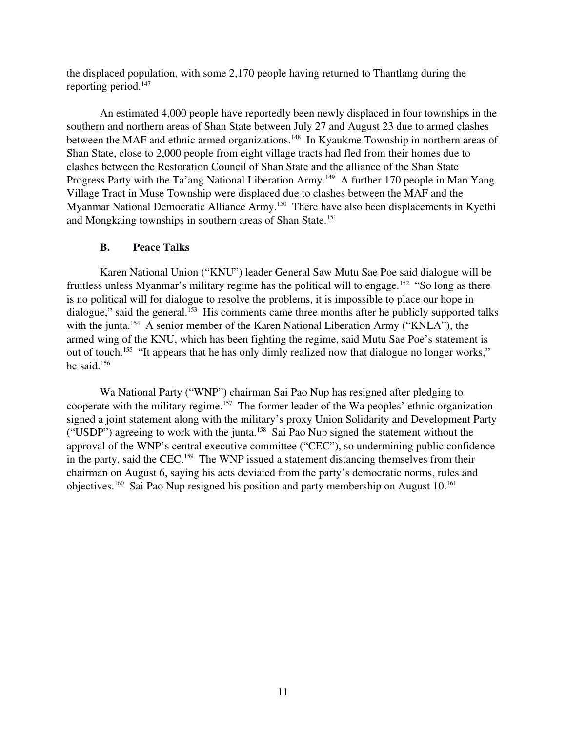the displaced population, with some 2,170 people having returned to Thantlang during the reporting period.<sup>147</sup>

An estimated 4,000 people have reportedly been newly displaced in four townships in the southern and northern areas of Shan State between July 27 and August 23 due to armed clashes between the MAF and ethnic armed organizations.<sup>148</sup> In Kyaukme Township in northern areas of Shan State, close to 2,000 people from eight village tracts had fled from their homes due to clashes between the Restoration Council of Shan State and the alliance of the Shan State Progress Party with the Ta'ang National Liberation Army.<sup>149</sup> A further 170 people in Man Yang Village Tract in Muse Township were displaced due to clashes between the MAF and the Myanmar National Democratic Alliance Army.<sup>150</sup> There have also been displacements in Kyethi and Mongkaing townships in southern areas of Shan State.<sup>151</sup>

## <span id="page-10-0"></span>B. Peace Talks

Karen National Union ("KNU") leader General Saw Mutu Sae Poe said dialogue will be fruitless unless Myanmar's military regime has the political will to engage.<sup>152</sup> "So long as there is no political will for dialogue to resolve the problems, it is impossible to place our hope in dialogue," said the general.<sup>153</sup> His comments came three months after he publicly supported talks with the junta.<sup>154</sup> A senior member of the Karen National Liberation Army ("KNLA"), the armed wing of the KNU, which has been fighting the regime, said Mutu Sae Poe's statement is out of touch.<sup>155</sup> "It appears that he has only dimly realized now that dialogue no longer works," he said.<sup>156</sup>

Wa National Party ("WNP") chairman Sai Pao Nup has resigned after pledging to cooperate with the military regime.<sup>157</sup> The former leader of the Wa peoples' ethnic organization signed a joint statement along with the military's proxy Union Solidarity and Development Party ("USDP") agreeing to work with the junta.<sup>158</sup> Sai Pao Nup signed the statement without the approval of the WNP's central executive committee ("CEC"), so undermining public confidence in the party, said the CEC.<sup>159</sup> The WNP issued a statement distancing themselves from their chairman on August 6, saying his acts deviated from the party's democratic norms, rules and objectives.<sup>160</sup> Sai Pao Nup resigned his position and party membership on August 10.<sup>161</sup>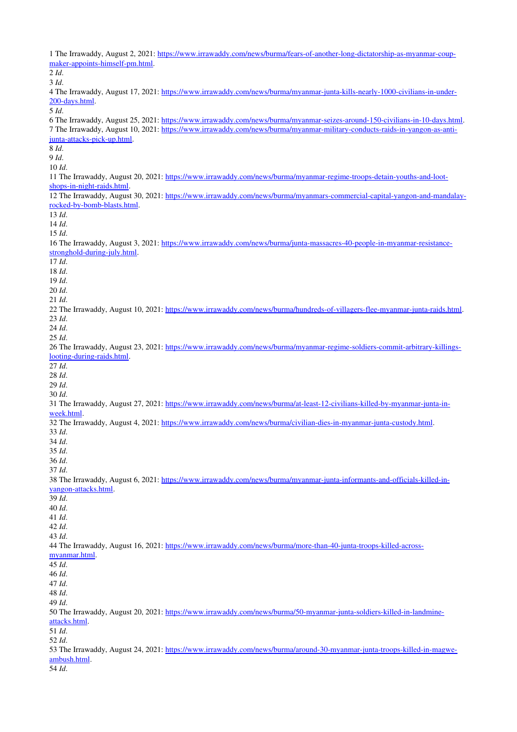1 The Irrawaddy, August 2, 2021: https://www.irrawaddy.com/news/burma/fears-of-another-long-dictatorship-as-myanmar-coupmaker-appoints-himself-pm.html. 2 *Id*. 3 *Id*. 4 The Irrawaddy, August 17, 2021: https://www.irrawaddy.com/news/burma/myanmar-junta-kills-nearly-1000-civilians-in-under-200-days.html 5 *Id*. 6 The Irrawaddy, August 25, 2021: https://www.irrawaddy.com/news/burma/myanmar-seizes-around-150-civilians-in-10-days.html. 7 The Irrawaddy, August 10, 2021: https://www.irrawaddy.com/news/burma/myanmar-military-conducts-raids-in-yangon-as-antijunta-attacks-pick-up.html. 8 *Id*. 9 *Id*. 10 *Id*. 11 The Irrawaddy, August 20, 2021: https://www.irrawaddy.com/news/burma/myanmar-regime-troops-detain-youths-and-lootshops-in-night-raids.html. 12 The Irrawaddy, August 30, 2021: https://www.irrawaddy.com/news/burma/myanmars-commercial-capital-yangon-and-mandalayrocked-by-bomb-blasts.html. 13 *Id*. 14 *Id*. 15 *Id*. 16 The Irrawaddy, August 3, 2021: https://www.irrawaddy.com/news/burma/junta-massacres-40-people-in-myanmar-resistancestronghold-during-july.html. 17 *Id*. 18 *Id*. 19 *Id*. 20 *Id*. 21 *Id*. 22 The Irrawaddy, August 10, 2021: https://www.irrawaddy.com/news/burma/hundreds-of-villagers-flee-myanmar-junta-raids.html. 23 *Id*. 24 *Id*. 25 *Id*. 26 The Irrawaddy, August 23, 2021: https://www.irrawaddy.com/news/burma/myanmar-regime-soldiers-commit-arbitrary-killingslooting-during-raids.html. 27 *Id*. 28 *Id*. 29 *Id*. 30 *Id*. 31 The Irrawaddy, August 27, 2021: https://www.irrawaddy.com/news/burma/at-least-12-civilians-killed-by-myanmar-junta-inweek html. 32 The Irrawaddy, August 4, 2021: https://www.irrawaddy.com/news/burma/civilian-dies-in-myanmar-junta-custody.html. 33 *Id*. 34 *Id*. 35 *Id*. 36 *Id*. 37 *Id*. 38 The Irrawaddy, August 6, 2021: https://www.irrawaddy.com/news/burma/myanmar-junta-informants-and-officials-killed-inyangon-attacks.html. 39 *Id*. 40 *Id*. 41 *Id*. 42 *Id*. 43 *Id*. 44 The Irrawaddy, August 16, 2021: https://www.irrawaddy.com/news/burma/more-than-40-junta-troops-killed-across[myanmar.html.](https://www.irrawaddy.com/news/burma/more-than-40-junta-troops-killed-across-myanmar.html) 45 *Id*. 46 *Id*. 47 *Id*. 48 *Id*. 49 *Id*. 50 The Irrawaddy, August 20, 2021: https://www.irrawaddy.com/news/burma/50-myanmar-junta-soldiers-killed-in-landmine[attacks.html.](https://www.irrawaddy.com/news/burma/50-myanmar-junta-soldiers-killed-in-landmine-attacks.html) 51 *Id*. 52 *Id*. 53 The Irrawaddy, August 24, 2021: https://www.irrawaddy.com/news/burma/around-30-myanmar-junta-troops-killed-in-magwe[ambush.html.](https://www.irrawaddy.com/news/burma/around-30-myanmar-junta-troops-killed-in-magwe-ambush.html) 54 *Id*.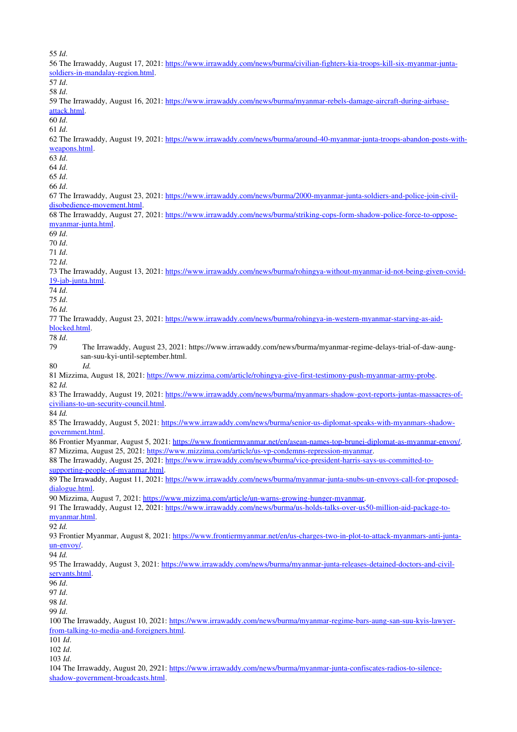| 55 Id.                                                                                                                                                      |
|-------------------------------------------------------------------------------------------------------------------------------------------------------------|
| 56 The Irrawaddy, August 17, 2021: https://www.irrawaddy.com/news/burma/civilian-fighters-kia-troops-kill-six-myanmar-junta-                                |
| soldiers-in-mandalay-region.html.                                                                                                                           |
| 57 Id.                                                                                                                                                      |
| 58 Id.                                                                                                                                                      |
| 59 The Irrawaddy, August 16, 2021: https://www.irrawaddy.com/news/burma/myanmar-rebels-damage-aircraft-during-airbase-                                      |
| attack.html.                                                                                                                                                |
| 60 Id.                                                                                                                                                      |
|                                                                                                                                                             |
| 61 Id.                                                                                                                                                      |
| 62 The Irrawaddy, August 19, 2021: https://www.irrawaddy.com/news/burma/around-40-myanmar-junta-troops-abandon-posts-with-                                  |
| weapons.html.                                                                                                                                               |
| 63 Id.                                                                                                                                                      |
| 64 Id.                                                                                                                                                      |
| 65 Id.                                                                                                                                                      |
| 66 Id.                                                                                                                                                      |
| 67 The Irrawaddy, August 23, 2021: https://www.irrawaddy.com/news/burma/2000-myanmar-junta-soldiers-and-police-join-civil-                                  |
| disobedience-movement.html.                                                                                                                                 |
| 68 The Irrawaddy, August 27, 2021: https://www.irrawaddy.com/news/burma/striking-cops-form-shadow-police-force-to-oppose-                                   |
| myanmar-junta.html.                                                                                                                                         |
|                                                                                                                                                             |
| 69 Id.                                                                                                                                                      |
| 70 Id.                                                                                                                                                      |
| 71 Id.                                                                                                                                                      |
| 72 Id.                                                                                                                                                      |
| 73 The Irrawaddy, August 13, 2021: https://www.irrawaddy.com/news/burma/rohingya-without-myanmar-id-not-being-given-covid-                                  |
| 19-jab-junta.html                                                                                                                                           |
| 74 Id.                                                                                                                                                      |
| 75 Id.                                                                                                                                                      |
| 76 Id.                                                                                                                                                      |
| 77 The Irrawaddy, August 23, 2021: https://www.irrawaddy.com/news/burma/rohingya-in-western-myanmar-starving-as-aid-                                        |
|                                                                                                                                                             |
| blocked.html.                                                                                                                                               |
| 78 Id.                                                                                                                                                      |
| 79<br>The Irrawaddy, August 23, 2021: https://www.irrawaddy.com/news/burma/myanmar-regime-delays-trial-of-daw-aung-                                         |
| san-suu-kyi-until-september.html.                                                                                                                           |
| Id.<br>80                                                                                                                                                   |
| 81 Mizzima, August 18, 2021: https://www.mizzima.com/article/rohingya-give-first-testimony-push-myanmar-army-probe.                                         |
| 82 Id.                                                                                                                                                      |
| 83 The Irrawaddy, August 19, 2021: https://www.irrawaddy.com/news/burma/myanmars-shadow-govt-reports-juntas-massacres-of-                                   |
| civilians-to-un-security-council.html.                                                                                                                      |
|                                                                                                                                                             |
| 84 Id.                                                                                                                                                      |
| 85 The Irrawaddy, August 5, 2021: https://www.irrawaddy.com/news/burma/senior-us-diplomat-speaks-with-myanmars-shadow-                                      |
| government.html.                                                                                                                                            |
| 86 Frontier Myanmar, August 5, 2021: https://www.frontiermyanmar.net/en/asean-names-top-brunei-diplomat-as-myanmar-envoy/.                                  |
| 87 Mizzima, August 25, 2021: https://www.mizzima.com/article/us-vp-condemns-repression-myanmar.                                                             |
| 88 The Irrawaddy, August 25, 2021: https://www.irrawaddy.com/news/burma/vice-president-harris-says-us-committed-to-                                         |
|                                                                                                                                                             |
|                                                                                                                                                             |
| supporting-people-of-myanmar.html.                                                                                                                          |
| 89 The Irrawaddy, August 11, 2021: https://www.irrawaddy.com/news/burma/myanmar-junta-snubs-un-envoys-call-for-proposed-                                    |
| dialogue.html.                                                                                                                                              |
| 90 Mizzima, August 7, 2021: https://www.mizzima.com/article/un-warns-growing-hunger-myanmar.                                                                |
| 91 The Irrawaddy, August 12, 2021: https://www.irrawaddy.com/news/burma/us-holds-talks-over-us50-million-aid-package-to-                                    |
| myanmar.html.                                                                                                                                               |
| 92 Id.                                                                                                                                                      |
| 93 Frontier Myanmar, August 8, 2021: https://www.frontiermyanmar.net/en/us-charges-two-in-plot-to-attack-myanmars-anti-junta-                               |
| $un\text{-}envoy/$ .                                                                                                                                        |
| 94 Id.                                                                                                                                                      |
|                                                                                                                                                             |
| 95 The Irrawaddy, August 3, 2021: https://www.irrawaddy.com/news/burma/myanmar-junta-releases-detained-doctors-and-civil-                                   |
| servants.html.                                                                                                                                              |
| 96 Id.                                                                                                                                                      |
| 97 Id.                                                                                                                                                      |
| 98 Id.                                                                                                                                                      |
| 99 Id.                                                                                                                                                      |
| 100 The Irrawaddy, August 10, 2021: https://www.irrawaddy.com/news/burma/myanmar-regime-bars-aung-san-suu-kyis-lawyer-                                      |
| from-talking-to-media-and-foreigners.html.                                                                                                                  |
| $101$ <i>Id.</i>                                                                                                                                            |
|                                                                                                                                                             |
| $102$ <i>Id.</i>                                                                                                                                            |
| 103 Id.                                                                                                                                                     |
| 104 The Irrawaddy, August 20, 2921: https://www.irrawaddy.com/news/burma/myanmar-junta-confiscates-radios-to-silence-<br>shadow-government-broadcasts.html. |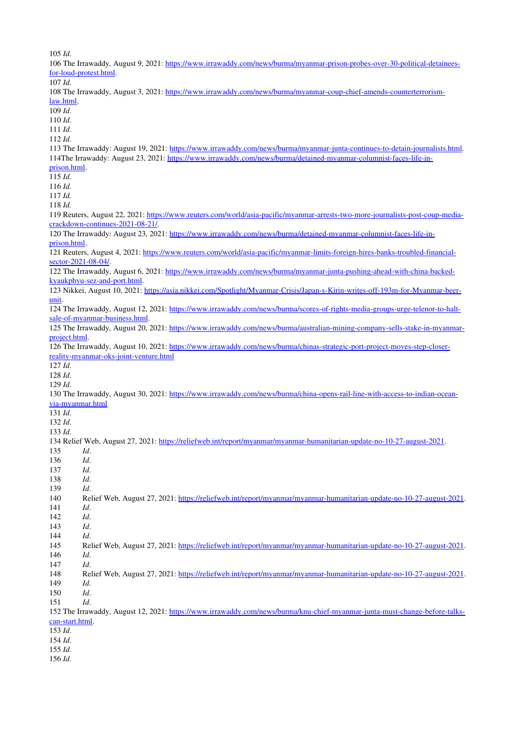105 *Id*.

| 106 The Irrawaddy, August 9, 2021: https://www.irrawaddy.com/news/burma/myanmar-prison-probes-over-30-political-detainees-     |
|--------------------------------------------------------------------------------------------------------------------------------|
| for-loud-protest.html.                                                                                                         |
| $107$ <i>Id.</i>                                                                                                               |
| 108 The Irrawaddy, August 3, 2021: https://www.irrawaddy.com/news/burma/myanmar-coup-chief-amends-counterterrorism-            |
| law.html.                                                                                                                      |
| 109 Id.                                                                                                                        |
| 110 Id.                                                                                                                        |
| $111$ $Id.$                                                                                                                    |
| $112$ $Id.$                                                                                                                    |
| 113 The Irrawaddy: August 19, 2021: https://www.irrawaddy.com/news/burma/myanmar-junta-continues-to-detain-journalists.html.   |
| 114The Irrawaddy: August 23, 2021: https://www.irrawaddy.com/news/burma/detained-myanmar-columnist-faces-life-in-              |
| prison.html.                                                                                                                   |
| 115 Id.                                                                                                                        |
| $116$ <i>Id.</i>                                                                                                               |
|                                                                                                                                |
| 117 Id.                                                                                                                        |
| 118 Id.                                                                                                                        |
| 119 Reuters, August 22, 2021: https://www.reuters.com/world/asia-pacific/myanmar-arrests-two-more-journalists-post-coup-media- |
| crackdown-continues-2021-08-21/.                                                                                               |
| 120 The Irrawaddy: August 23, 2021: https://www.irrawaddy.com/news/burma/detained-myanmar-columnist-faces-life-in-             |
| prison.html.                                                                                                                   |
| 121 Reuters, August 4, 2021: https://www.reuters.com/world/asia-pacific/myanmar-limits-foreign-hires-banks-troubled-financial- |
| sector-2021-08-04/.                                                                                                            |
| 122 The Irrawaddy, August 6, 2021: https://www.irrawaddy.com/news/burma/myanmar-junta-pushing-ahead-with-china-backed-         |
| kyaukphyu-sez-and-port.html.                                                                                                   |
| 123 Nikkei, August 10, 2021: https://asia.nikkei.com/Spotlight/Myanmar-Crisis/Japan-s-Kirin-writes-off-193m-for-Myanmar-beer-  |
| unit.                                                                                                                          |
| 124 The Irrawaddy, August 12, 2021: https://www.irrawaddy.com/news/burma/scores-of-rights-media-groups-urge-telenor-to-halt-   |
| sale-of-myanmar-business.html.                                                                                                 |
| 125 The Irrawaddy, August 20, 2021: https://www.irrawaddy.com/news/burma/australian-mining-company-sells-stake-in-myanmar-     |
|                                                                                                                                |
| project.html.                                                                                                                  |
| 126 The Irrawaddy, August 10, 2021: https://www.irrawaddy.com/news/burma/chinas-strategic-port-project-moves-step-closer-      |
|                                                                                                                                |
| reality-myanmar-oks-joint-venture.html                                                                                         |
| 127 Id.                                                                                                                        |
| 128 Id.                                                                                                                        |
| 129 Id.                                                                                                                        |
| 130 The Irrawaddy, August 30, 2021: https://www.irrawaddy.com/news/burma/china-opens-rail-line-with-access-to-indian-ocean-    |
| via-myanmar.html                                                                                                               |
| $131$ <i>Id.</i>                                                                                                               |
| 132 Id.                                                                                                                        |
| 133 Id.                                                                                                                        |
|                                                                                                                                |
| 134 Relief Web, August 27, 2021: https://reliefweb.int/report/myanmar/myanmar-humanitarian-update-no-10-27-august-2021.        |
| 135<br>Id.                                                                                                                     |
| 136<br>Id.                                                                                                                     |
| 137<br>Id.                                                                                                                     |
| 138<br>Id.                                                                                                                     |
| 139<br>Id.                                                                                                                     |
| 140<br>Relief Web, August 27, 2021: https://reliefweb.int/report/myanmar/myanmar-humanitarian-update-no-10-27-august-2021.     |
| 141<br>Id.                                                                                                                     |
| Id.<br>142                                                                                                                     |
| Id.<br>143                                                                                                                     |
| 144<br>Id.                                                                                                                     |
| 145<br>Relief Web, August 27, 2021: https://reliefweb.int/report/myanmar/myanmar-humanitarian-update-no-10-27-august-2021.     |
| 146<br>Id.                                                                                                                     |
| Id.<br>147                                                                                                                     |
| Relief Web, August 27, 2021: https://reliefweb.int/report/myanmar/myanmar-humanitarian-update-no-10-27-august-2021.<br>148     |
| 149<br>Id.                                                                                                                     |
| Id.<br>150                                                                                                                     |
| Id.<br>151                                                                                                                     |
|                                                                                                                                |
| 152 The Irrawaddy, August 12, 2021: https://www.irrawaddy.com/news/burma/knu-chief-myanmar-junta-must-change-before-talks-     |
| can-start.html.                                                                                                                |
| 153 Id.                                                                                                                        |
| 154 Id.                                                                                                                        |
| 155 Id.<br>156 Id.                                                                                                             |